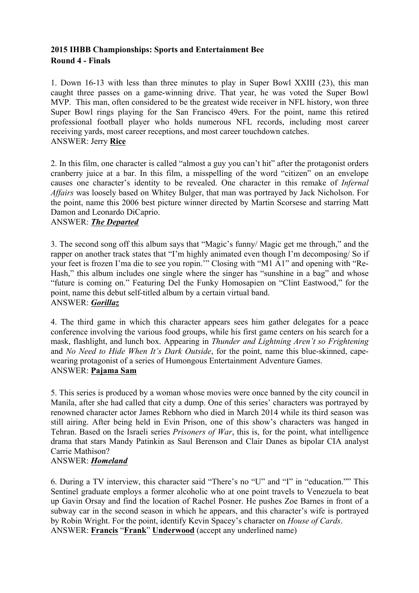# **2015 IHBB Championships: Sports and Entertainment Bee Round 4 - Finals**

1. Down 16-13 with less than three minutes to play in Super Bowl XXIII (23), this man caught three passes on a game-winning drive. That year, he was voted the Super Bowl MVP. This man, often considered to be the greatest wide receiver in NFL history, won three Super Bowl rings playing for the San Francisco 49ers. For the point, name this retired professional football player who holds numerous NFL records, including most career receiving yards, most career receptions, and most career touchdown catches. ANSWER: Jerry **Rice**

2. In this film, one character is called "almost a guy you can't hit" after the protagonist orders cranberry juice at a bar. In this film, a misspelling of the word "citizen" on an envelope causes one character's identity to be revealed. One character in this remake of *Infernal Affairs* was loosely based on Whitey Bulger, that man was portrayed by Jack Nicholson. For the point, name this 2006 best picture winner directed by Martin Scorsese and starring Matt Damon and Leonardo DiCaprio.

## ANSWER: *The Departed*

3. The second song off this album says that "Magic's funny/ Magic get me through," and the rapper on another track states that "I'm highly animated even though I'm decomposing/ So if your feet is frozen I'ma die to see you ropin.'" Closing with "M1 A1" and opening with "Re-Hash," this album includes one single where the singer has "sunshine in a bag" and whose "future is coming on." Featuring Del the Funky Homosapien on "Clint Eastwood," for the point, name this debut self-titled album by a certain virtual band. ANSWER: *Gorillaz*

4. The third game in which this character appears sees him gather delegates for a peace conference involving the various food groups, while his first game centers on his search for a mask, flashlight, and lunch box. Appearing in *Thunder and Lightning Aren't so Frightening*  and *No Need to Hide When It's Dark Outside*, for the point, name this blue-skinned, capewearing protagonist of a series of Humongous Entertainment Adventure Games. ANSWER: **Pajama Sam**

5. This series is produced by a woman whose movies were once banned by the city council in Manila, after she had called that city a dump. One of this series' characters was portrayed by renowned character actor James Rebhorn who died in March 2014 while its third season was still airing. After being held in Evin Prison, one of this show's characters was hanged in Tehran. Based on the Israeli series *Prisoners of War*, this is, for the point, what intelligence drama that stars Mandy Patinkin as Saul Berenson and Clair Danes as bipolar CIA analyst Carrie Mathison?

## ANSWER: *Homeland*

6. During a TV interview, this character said "There's no "U" and "I" in "education."" This Sentinel graduate employs a former alcoholic who at one point travels to Venezuela to beat up Gavin Orsay and find the location of Rachel Posner. He pushes Zoe Barnes in front of a subway car in the second season in which he appears, and this character's wife is portrayed by Robin Wright. For the point, identify Kevin Spacey's character on *House of Cards*. ANSWER: **Francis** "**Frank**" **Underwood** (accept any underlined name)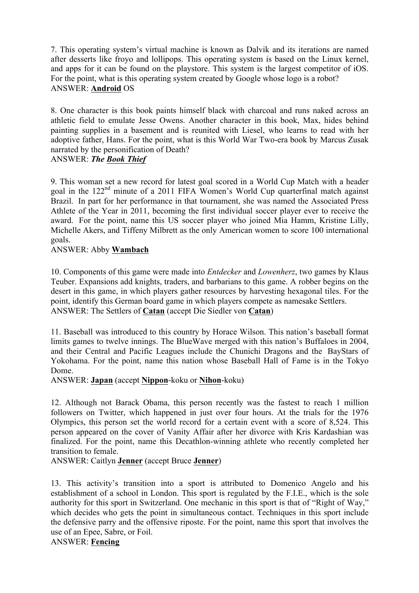7. This operating system's virtual machine is known as Dalvik and its iterations are named after desserts like froyo and lollipops. This operating system is based on the Linux kernel, and apps for it can be found on the playstore. This system is the largest competitor of iOS. For the point, what is this operating system created by Google whose logo is a robot? ANSWER: **Android** OS

8. One character is this book paints himself black with charcoal and runs naked across an athletic field to emulate Jesse Owens. Another character in this book, Max, hides behind painting supplies in a basement and is reunited with Liesel, who learns to read with her adoptive father, Hans. For the point, what is this World War Two-era book by Marcus Zusak narrated by the personification of Death?

### ANSWER: *The Book Thief*

9. This woman set a new record for latest goal scored in a World Cup Match with a header goal in the 122nd minute of a 2011 FIFA Women's World Cup quarterfinal match against Brazil. In part for her performance in that tournament, she was named the Associated Press Athlete of the Year in 2011, becoming the first individual soccer player ever to receive the award. For the point, name this US soccer player who joined Mia Hamm, Kristine Lilly, Michelle Akers, and Tiffeny Milbrett as the only American women to score 100 international goals.

ANSWER: Abby **Wambach**

10. Components of this game were made into *Entdecker* and *Lowenherz*, two games by Klaus Teuber. Expansions add knights, traders, and barbarians to this game. A robber begins on the desert in this game, in which players gather resources by harvesting hexagonal tiles. For the point, identify this German board game in which players compete as namesake Settlers. ANSWER: The Settlers of **Catan** (accept Die Siedler von **Catan**)

11. Baseball was introduced to this country by Horace Wilson. This nation's baseball format limits games to twelve innings. The BlueWave merged with this nation's Buffaloes in 2004, and their Central and Pacific Leagues include the Chunichi Dragons and the BayStars of Yokohama. For the point, name this nation whose Baseball Hall of Fame is in the Tokyo Dome.

ANSWER: **Japan** (accept **Nippon**-koku or **Nihon**-koku)

12. Although not Barack Obama, this person recently was the fastest to reach 1 million followers on Twitter, which happened in just over four hours. At the trials for the 1976 Olympics, this person set the world record for a certain event with a score of 8,524. This person appeared on the cover of Vanity Affair after her divorce with Kris Kardashian was finalized. For the point, name this Decathlon-winning athlete who recently completed her transition to female.

ANSWER: Caitlyn **Jenner** (accept Bruce **Jenner**)

13. This activity's transition into a sport is attributed to Domenico Angelo and his establishment of a school in London. This sport is regulated by the F.I.E., which is the sole authority for this sport in Switzerland. One mechanic in this sport is that of "Right of Way," which decides who gets the point in simultaneous contact. Techniques in this sport include the defensive parry and the offensive riposte. For the point, name this sport that involves the use of an Epee, Sabre, or Foil.

ANSWER: **Fencing**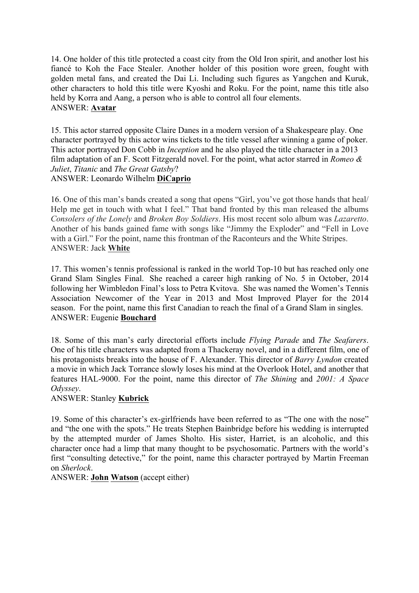14. One holder of this title protected a coast city from the Old Iron spirit, and another lost his fiancé to Koh the Face Stealer. Another holder of this position wore green, fought with golden metal fans, and created the Dai Li. Including such figures as Yangchen and Kuruk, other characters to hold this title were Kyoshi and Roku. For the point, name this title also held by Korra and Aang, a person who is able to control all four elements. ANSWER: **Avatar**

15. This actor starred opposite Claire Danes in a modern version of a Shakespeare play. One character portrayed by this actor wins tickets to the title vessel after winning a game of poker. This actor portrayed Don Cobb in *Inception* and he also played the title character in a 2013 film adaptation of an F. Scott Fitzgerald novel. For the point, what actor starred in *Romeo & Juliet*, *Titanic* and *The Great Gatsby*? ANSWER: Leonardo Wilhelm **DiCaprio**

16. One of this man's bands created a song that opens "Girl, you've got those hands that heal/ Help me get in touch with what I feel." That band fronted by this man released the albums *Consolers of the Lonely* and *Broken Boy Soldiers*. His most recent solo album was *Lazaretto*. Another of his bands gained fame with songs like "Jimmy the Exploder" and "Fell in Love with a Girl." For the point, name this frontman of the Raconteurs and the White Stripes. ANSWER: Jack **White**

17. This women's tennis professional is ranked in the world Top-10 but has reached only one Grand Slam Singles Final. She reached a career high ranking of No. 5 in October, 2014 following her Wimbledon Final's loss to Petra Kvitova. She was named the Women's Tennis Association Newcomer of the Year in 2013 and Most Improved Player for the 2014 season. For the point, name this first Canadian to reach the final of a Grand Slam in singles. ANSWER: Eugenie **Bouchard**

18. Some of this man's early directorial efforts include *Flying Parade* and *The Seafarers*. One of his title characters was adapted from a Thackeray novel, and in a different film, one of his protagonists breaks into the house of F. Alexander. This director of *Barry Lyndon* created a movie in which Jack Torrance slowly loses his mind at the Overlook Hotel, and another that features HAL-9000. For the point, name this director of *The Shining* and *2001: A Space Odyssey*.

## ANSWER: Stanley **Kubrick**

19. Some of this character's ex-girlfriends have been referred to as "The one with the nose" and "the one with the spots." He treats Stephen Bainbridge before his wedding is interrupted by the attempted murder of James Sholto. His sister, Harriet, is an alcoholic, and this character once had a limp that many thought to be psychosomatic. Partners with the world's first "consulting detective," for the point, name this character portrayed by Martin Freeman on *Sherlock*.

ANSWER: **John Watson** (accept either)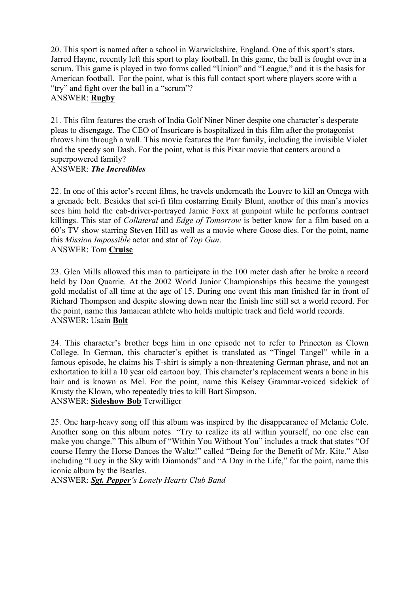20. This sport is named after a school in Warwickshire, England. One of this sport's stars, Jarred Hayne, recently left this sport to play football. In this game, the ball is fought over in a scrum. This game is played in two forms called "Union" and "League," and it is the basis for American football. For the point, what is this full contact sport where players score with a "try" and fight over the ball in a "scrum"? ANSWER: **Rugby**

21. This film features the crash of India Golf Niner Niner despite one character's desperate pleas to disengage. The CEO of Insuricare is hospitalized in this film after the protagonist throws him through a wall. This movie features the Parr family, including the invisible Violet and the speedy son Dash. For the point, what is this Pixar movie that centers around a superpowered family?

#### ANSWER: *The Incredibles*

22. In one of this actor's recent films, he travels underneath the Louvre to kill an Omega with a grenade belt. Besides that sci-fi film costarring Emily Blunt, another of this man's movies sees him hold the cab-driver-portrayed Jamie Foxx at gunpoint while he performs contract killings. This star of *Collateral* and *Edge of Tomorrow* is better know for a film based on a 60's TV show starring Steven Hill as well as a movie where Goose dies. For the point, name this *Mission Impossible* actor and star of *Top Gun*. ANSWER: Tom **Cruise**

23. Glen Mills allowed this man to participate in the 100 meter dash after he broke a record held by Don Quarrie. At the 2002 World Junior Championships this became the youngest gold medalist of all time at the age of 15. During one event this man finished far in front of Richard Thompson and despite slowing down near the finish line still set a world record. For the point, name this Jamaican athlete who holds multiple track and field world records. ANSWER: Usain **Bolt**

24. This character's brother begs him in one episode not to refer to Princeton as Clown College. In German, this character's epithet is translated as "Tingel Tangel" while in a famous episode, he claims his T-shirt is simply a non-threatening German phrase, and not an exhortation to kill a 10 year old cartoon boy. This character's replacement wears a bone in his hair and is known as Mel. For the point, name this Kelsey Grammar-voiced sidekick of Krusty the Klown, who repeatedly tries to kill Bart Simpson. ANSWER: **Sideshow Bob** Terwilliger

25. One harp-heavy song off this album was inspired by the disappearance of Melanie Cole. Another song on this album notes "Try to realize its all within yourself, no one else can make you change." This album of "Within You Without You" includes a track that states "Of course Henry the Horse Dances the Waltz!" called "Being for the Benefit of Mr. Kite." Also including "Lucy in the Sky with Diamonds" and "A Day in the Life," for the point, name this iconic album by the Beatles.

ANSWER: *Sgt. Pepper's Lonely Hearts Club Band*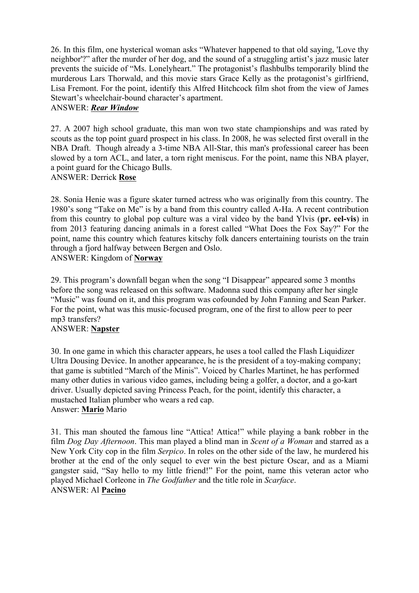26. In this film, one hysterical woman asks "Whatever happened to that old saying, 'Love thy neighbor'?" after the murder of her dog, and the sound of a struggling artist's jazz music later prevents the suicide of "Ms. Lonelyheart." The protagonist's flashbulbs temporarily blind the murderous Lars Thorwald, and this movie stars Grace Kelly as the protagonist's girlfriend, Lisa Fremont. For the point, identify this Alfred Hitchcock film shot from the view of James Stewart's wheelchair-bound character's apartment.

## ANSWER: *Rear Window*

27. A 2007 high school graduate, this man won two state championships and was rated by scouts as the top point guard prospect in his class. In 2008, he was selected first overall in the NBA Draft. Though already a 3-time NBA All-Star, this man's professional career has been slowed by a torn ACL, and later, a torn right meniscus. For the point, name this NBA player, a point guard for the Chicago Bulls.

### ANSWER: Derrick **Rose**

28. Sonia Henie was a figure skater turned actress who was originally from this country. The 1980's song "Take on Me" is by a band from this country called A-Ha. A recent contribution from this country to global pop culture was a viral video by the band Ylvis (**pr. eel-vis**) in from 2013 featuring dancing animals in a forest called "What Does the Fox Say?" For the point, name this country which features kitschy folk dancers entertaining tourists on the train through a fjord halfway between Bergen and Oslo. ANSWER: Kingdom of **Norway**

29. This program's downfall began when the song "I Disappear" appeared some 3 months before the song was released on this software. Madonna sued this company after her single "Music" was found on it, and this program was cofounded by John Fanning and Sean Parker. For the point, what was this music-focused program, one of the first to allow peer to peer

#### mp3 transfers? ANSWER: **Napster**

30. In one game in which this character appears, he uses a tool called the Flash Liquidizer Ultra Dousing Device. In another appearance, he is the president of a toy-making company; that game is subtitled "March of the Minis". Voiced by Charles Martinet, he has performed many other duties in various video games, including being a golfer, a doctor, and a go-kart driver. Usually depicted saving Princess Peach, for the point, identify this character, a mustached Italian plumber who wears a red cap. Answer: **Mario** Mario

31. This man shouted the famous line "Attica! Attica!" while playing a bank robber in the film *Dog Day Afternoon*. This man played a blind man in *Scent of a Woman* and starred as a New York City cop in the film *Serpico*. In roles on the other side of the law, he murdered his brother at the end of the only sequel to ever win the best picture Oscar, and as a Miami gangster said, "Say hello to my little friend!" For the point, name this veteran actor who played Michael Corleone in *The Godfather* and the title role in *Scarface*. ANSWER: Al **Pacino**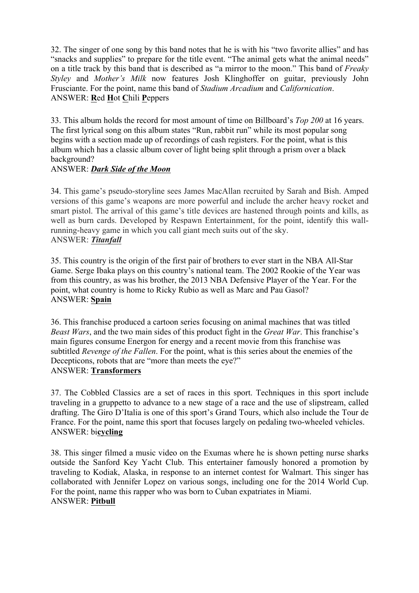32. The singer of one song by this band notes that he is with his "two favorite allies" and has "snacks and supplies" to prepare for the title event. "The animal gets what the animal needs" on a title track by this band that is described as "a mirror to the moon." This band of *Freaky Styley* and *Mother's Milk* now features Josh Klinghoffer on guitar, previously John Frusciante. For the point, name this band of *Stadium Arcadium* and *Californication*. ANSWER: **R**ed **H**ot **C**hili **P**eppers

33. This album holds the record for most amount of time on Billboard's *Top 200* at 16 years. The first lyrical song on this album states "Run, rabbit run" while its most popular song begins with a section made up of recordings of cash registers. For the point, what is this album which has a classic album cover of light being split through a prism over a black background?

## ANSWER: *Dark Side of the Moon*

34. This game's pseudo-storyline sees James MacAllan recruited by Sarah and Bish. Amped versions of this game's weapons are more powerful and include the archer heavy rocket and smart pistol. The arrival of this game's title devices are hastened through points and kills, as well as burn cards. Developed by Respawn Entertainment, for the point, identify this wallrunning-heavy game in which you call giant mech suits out of the sky. ANSWER: *Titanfall*

35. This country is the origin of the first pair of brothers to ever start in the NBA All-Star Game. Serge Ibaka plays on this country's national team. The 2002 Rookie of the Year was from this country, as was his brother, the 2013 NBA Defensive Player of the Year. For the point, what country is home to Ricky Rubio as well as Marc and Pau Gasol? ANSWER: **Spain**

36. This franchise produced a cartoon series focusing on animal machines that was titled *Beast Wars*, and the two main sides of this product fight in the *Great War*. This franchise's main figures consume Energon for energy and a recent movie from this franchise was subtitled *Revenge of the Fallen*. For the point, what is this series about the enemies of the Decepticons, robots that are "more than meets the eye?" ANSWER: **Transformers**

37. The Cobbled Classics are a set of races in this sport. Techniques in this sport include traveling in a gruppetto to advance to a new stage of a race and the use of slipstream, called drafting. The Giro D'Italia is one of this sport's Grand Tours, which also include the Tour de France. For the point, name this sport that focuses largely on pedaling two-wheeled vehicles. ANSWER: bi**cycling**

38. This singer filmed a music video on the Exumas where he is shown petting nurse sharks outside the Sanford Key Yacht Club. This entertainer famously honored a promotion by traveling to Kodiak, Alaska, in response to an internet contest for Walmart. This singer has collaborated with Jennifer Lopez on various songs, including one for the 2014 World Cup. For the point, name this rapper who was born to Cuban expatriates in Miami. ANSWER: **Pitbull**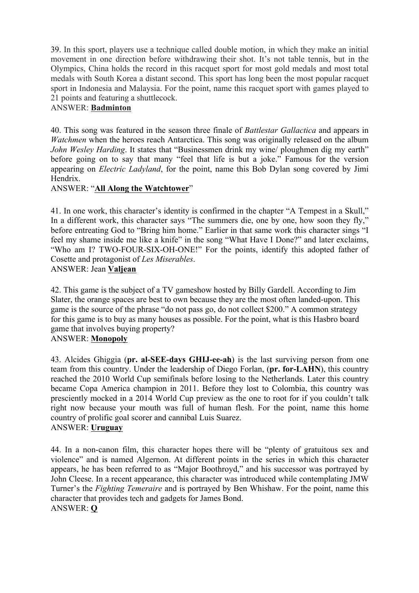39. In this sport, players use a technique called double motion, in which they make an initial movement in one direction before withdrawing their shot. It's not table tennis, but in the Olympics, China holds the record in this racquet sport for most gold medals and most total medals with South Korea a distant second. This sport has long been the most popular racquet sport in Indonesia and Malaysia. For the point, name this racquet sport with games played to 21 points and featuring a shuttlecock.

# ANSWER: **Badminton**

40. This song was featured in the season three finale of *Battlestar Gallactica* and appears in *Watchmen* when the heroes reach Antarctica. This song was originally released on the album *John Wesley Harding*. It states that "Businessmen drink my wine/ ploughmen dig my earth" before going on to say that many "feel that life is but a joke." Famous for the version appearing on *Electric Ladyland*, for the point, name this Bob Dylan song covered by Jimi **Hendrix** 

## ANSWER: "**All Along the Watchtower**"

41. In one work, this character's identity is confirmed in the chapter "A Tempest in a Skull," In a different work, this character says "The summers die, one by one, how soon they fly," before entreating God to "Bring him home." Earlier in that same work this character sings "I feel my shame inside me like a knife" in the song "What Have I Done?" and later exclaims, "Who am I? TWO-FOUR-SIX-OH-ONE!" For the points, identify this adopted father of Cosette and protagonist of *Les Miserables*.

## ANSWER: Jean **Valjean**

42. This game is the subject of a TV gameshow hosted by Billy Gardell. According to Jim Slater, the orange spaces are best to own because they are the most often landed-upon. This game is the source of the phrase "do not pass go, do not collect \$200." A common strategy for this game is to buy as many houses as possible. For the point, what is this Hasbro board game that involves buying property?

## ANSWER: **Monopoly**

43. Alcides Ghiggia (**pr. al-SEE-days GHIJ-ee-ah**) is the last surviving person from one team from this country. Under the leadership of Diego Forlan, (**pr. for-LAHN**), this country reached the 2010 World Cup semifinals before losing to the Netherlands. Later this country became Copa America champion in 2011. Before they lost to Colombia, this country was presciently mocked in a 2014 World Cup preview as the one to root for if you couldn't talk right now because your mouth was full of human flesh. For the point, name this home country of prolific goal scorer and cannibal Luis Suarez. ANSWER: **Uruguay**

44. In a non-canon film, this character hopes there will be "plenty of gratuitous sex and violence" and is named Algernon. At different points in the series in which this character appears, he has been referred to as "Major Boothroyd," and his successor was portrayed by John Cleese. In a recent appearance, this character was introduced while contemplating JMW Turner's the *Fighting Temeraire* and is portrayed by Ben Whishaw. For the point, name this character that provides tech and gadgets for James Bond. ANSWER: **Q**